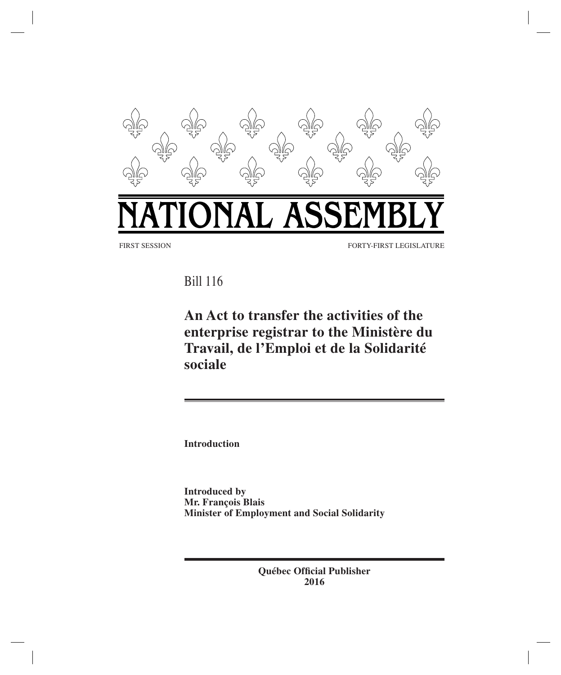

Bill 116

**An Act to transfer the activities of the enterprise registrar to the Ministère du Travail, de l'Emploi et de la Solidarité sociale**

**Introduction**

**Introduced by Mr. François Blais Minister of Employment and Social Solidarity**

> **Québec Official Publisher 2016**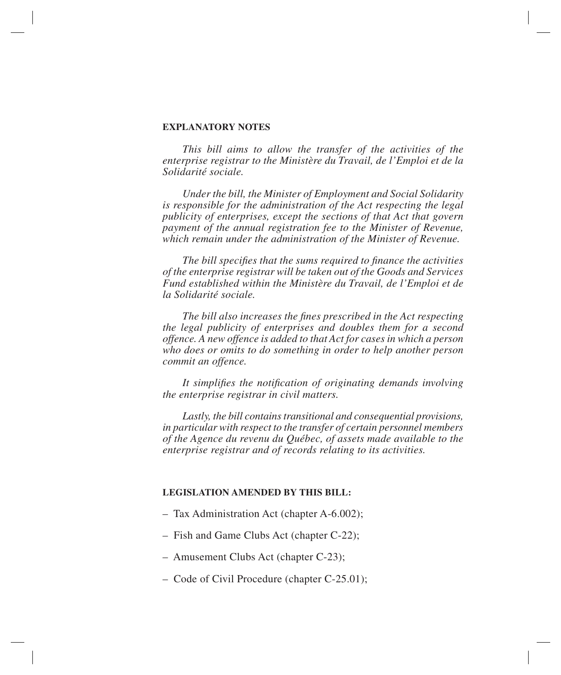# **EXPLANATORY NOTES**

*This bill aims to allow the transfer of the activities of the enterprise registrar to the Ministère du Travail, de l'Emploi et de la Solidarité sociale.*

*Under the bill, the Minister of Employment and Social Solidarity is responsible for the administration of the Act respecting the legal publicity of enterprises, except the sections of that Act that govern payment of the annual registration fee to the Minister of Revenue, which remain under the administration of the Minister of Revenue.*

*The bill specifies that the sums required to finance the activities of the enterprise registrar will be taken out of the Goods and Services Fund established within the Ministère du Travail, de l'Emploi et de la Solidarité sociale.*

*The bill also increases the fines prescribed in the Act respecting the legal publicity of enterprises and doubles them for a second offence. A new offence is added to that Act for cases in which a person who does or omits to do something in order to help another person commit an offence.*

*It simplifies the notification of originating demands involving the enterprise registrar in civil matters.*

*Lastly, the bill contains transitional and consequential provisions, in particular with respect to the transfer of certain personnel members of the Agence du revenu du Québec, of assets made available to the enterprise registrar and of records relating to its activities.*

## **LEGISLATION AMENDED BY THIS BILL:**

- Tax Administration Act (chapter A-6.002);
- Fish and Game Clubs Act (chapter C-22);
- Amusement Clubs Act (chapter C-23);
- Code of Civil Procedure (chapter C-25.01);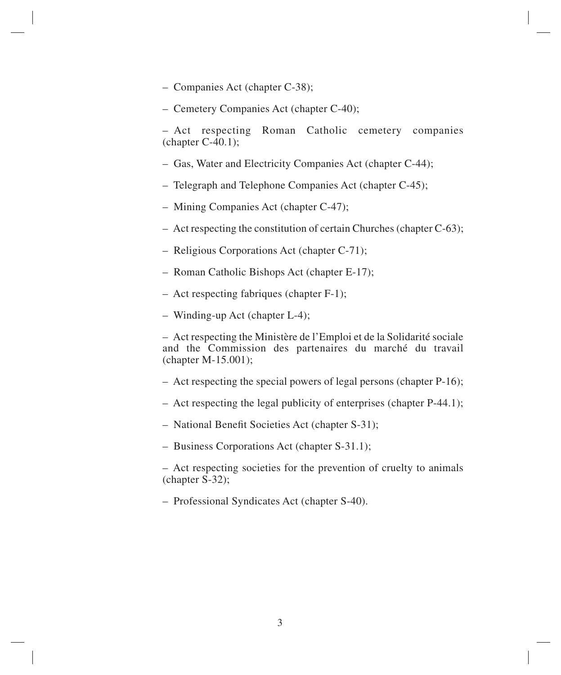- Companies Act (chapter C-38);
- Cemetery Companies Act (chapter C-40);

– Act respecting Roman Catholic cemetery companies  $(chapter C-40.1);$ 

- Gas, Water and Electricity Companies Act (chapter C-44);
- Telegraph and Telephone Companies Act (chapter C-45);
- Mining Companies Act (chapter C-47);
- Act respecting the constitution of certain Churches (chapter C-63);
- Religious Corporations Act (chapter C-71);
- Roman Catholic Bishops Act (chapter E-17);
- Act respecting fabriques (chapter F-1);
- Winding-up Act (chapter L-4);

– Act respecting the Ministère de l'Emploi et de la Solidarité sociale and the Commission des partenaires du marché du travail (chapter M-15.001);

- Act respecting the special powers of legal persons (chapter P-16);
- Act respecting the legal publicity of enterprises (chapter P-44.1);
- National Benefit Societies Act (chapter S-31);
- Business Corporations Act (chapter S-31.1);

– Act respecting societies for the prevention of cruelty to animals (chapter S-32);

– Professional Syndicates Act (chapter S-40).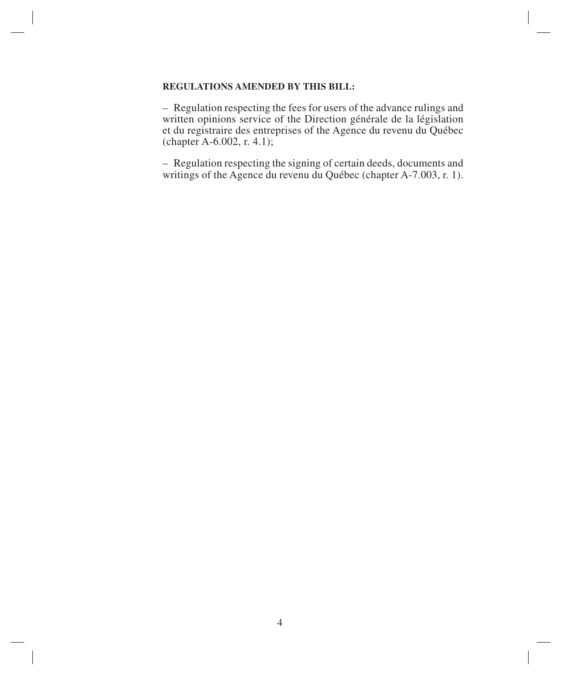# **REGULATIONS AMENDED BY THIS BILL:**

– Regulation respecting the fees for users of the advance rulings and written opinions service of the Direction générale de la législation et du registraire des entreprises of the Agence du revenu du Québec (chapter A-6.002, r. 4.1);

– Regulation respecting the signing of certain deeds, documents and writings of the Agence du revenu du Québec (chapter A-7.003, r. 1).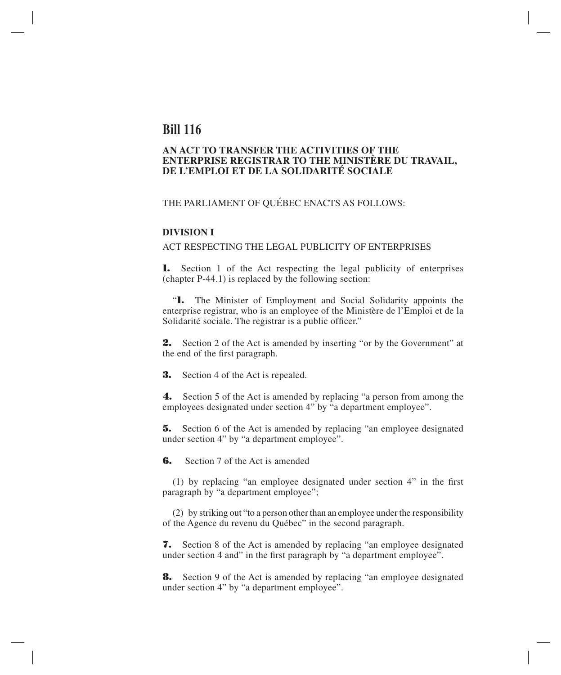# **Bill 116**

# **AN ACT TO TRANSFER THE ACTIVITIES OF THE ENTERPRISE REGISTRAR TO THE MINISTÈRE DU TRAVAIL, DE L'EMPLOI ET DE LA SOLIDARITÉ SOCIALE**

THE PARLIAMENT OF QUÉBEC ENACTS AS FOLLOWS:

#### **DIVISION I**

### ACT RESPECTING THE LEGAL PUBLICITY OF ENTERPRISES

**1.** Section 1 of the Act respecting the legal publicity of enterprises (chapter P-44.1) is replaced by the following section:

"**1.** The Minister of Employment and Social Solidarity appoints the enterprise registrar, who is an employee of the Ministère de l'Emploi et de la Solidarité sociale. The registrar is a public officer."

**2.** Section 2 of the Act is amended by inserting "or by the Government" at the end of the first paragraph.

**3.** Section 4 of the Act is repealed.

**4.** Section 5 of the Act is amended by replacing "a person from among the employees designated under section 4" by "a department employee".

**5.** Section 6 of the Act is amended by replacing "an employee designated under section 4" by "a department employee".

**6.** Section 7 of the Act is amended

(1) by replacing "an employee designated under section 4" in the first paragraph by "a department employee";

(2) by striking out "to a person other than an employee under the responsibility of the Agence du revenu du Québec" in the second paragraph.

**7.** Section 8 of the Act is amended by replacing "an employee designated under section 4 and" in the first paragraph by "a department employee".

**8.** Section 9 of the Act is amended by replacing "an employee designated under section 4" by "a department employee".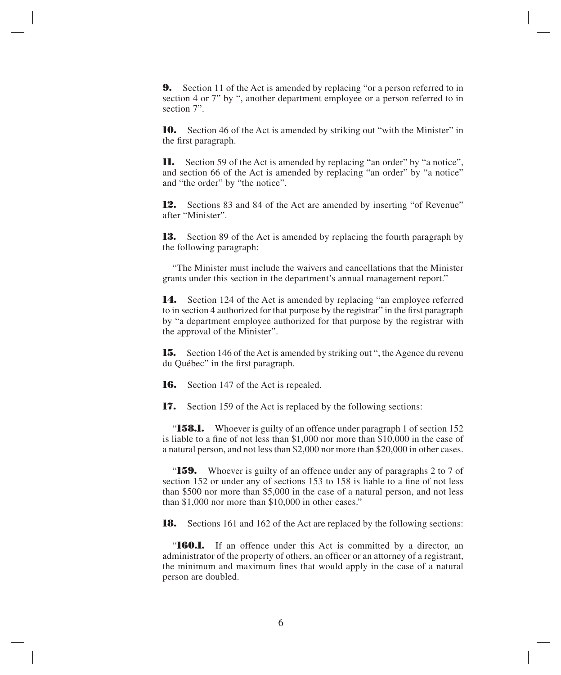**9.** Section 11 of the Act is amended by replacing "or a person referred to in section 4 or 7" by ", another department employee or a person referred to in section 7".

**10.** Section 46 of the Act is amended by striking out "with the Minister" in the first paragraph.

**11.** Section 59 of the Act is amended by replacing "an order" by "a notice", and section 66 of the Act is amended by replacing "an order" by "a notice" and "the order" by "the notice".

**12.** Sections 83 and 84 of the Act are amended by inserting "of Revenue" after "Minister".

**13.** Section 89 of the Act is amended by replacing the fourth paragraph by the following paragraph:

"The Minister must include the waivers and cancellations that the Minister grants under this section in the department's annual management report."

14. Section 124 of the Act is amended by replacing "an employee referred to in section 4 authorized for that purpose by the registrar" in the first paragraph by "a department employee authorized for that purpose by the registrar with the approval of the Minister".

**15.** Section 146 of the Act is amended by striking out ", the Agence du revenu du Québec" in the first paragraph.

**16.** Section 147 of the Act is repealed.

**17.** Section 159 of the Act is replaced by the following sections:

**158.1.** Whoever is guilty of an offence under paragraph 1 of section 152 is liable to a fine of not less than \$1,000 nor more than \$10,000 in the case of a natural person, and not less than \$2,000 nor more than \$20,000 in other cases.

"**159.** Whoever is guilty of an offence under any of paragraphs 2 to 7 of section 152 or under any of sections 153 to 158 is liable to a fine of not less than \$500 nor more than \$5,000 in the case of a natural person, and not less than \$1,000 nor more than \$10,000 in other cases."

**18.** Sections 161 and 162 of the Act are replaced by the following sections:

"**160.1.** If an offence under this Act is committed by a director, an administrator of the property of others, an officer or an attorney of a registrant, the minimum and maximum fines that would apply in the case of a natural person are doubled.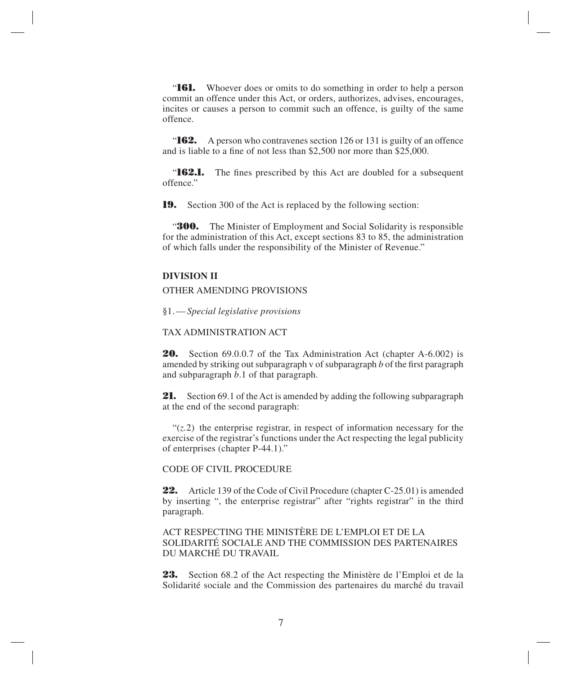"**161.** Whoever does or omits to do something in order to help a person commit an offence under this Act, or orders, authorizes, advises, encourages, incites or causes a person to commit such an offence, is guilty of the same offence.

"**162.** A person who contravenes section 126 or 131 is guilty of an offence and is liable to a fine of not less than \$2,500 nor more than \$25,000.

**"162.1.** The fines prescribed by this Act are doubled for a subsequent offence."

**19.** Section 300 of the Act is replaced by the following section:

**300.** The Minister of Employment and Social Solidarity is responsible for the administration of this Act, except sections 83 to 85, the administration of which falls under the responsibility of the Minister of Revenue."

#### **DIVISION II**

#### OTHER AMENDING PROVISIONS

§1.—*Special legislative provisions*

## TAX ADMINISTRATION ACT

**20.** Section 69.0.0.7 of the Tax Administration Act (chapter A-6.002) is amended by striking out subparagraph v of subparagraph *b* of the first paragraph and subparagraph *b*.1 of that paragraph.

**21.** Section 69.1 of the Act is amended by adding the following subparagraph at the end of the second paragraph:

 $\mathcal{L}(z, 2)$  the enterprise registrar, in respect of information necessary for the exercise of the registrar's functions under the Act respecting the legal publicity of enterprises (chapter P-44.1)."

CODE OF CIVIL PROCEDURE

**22.** Article 139 of the Code of Civil Procedure (chapter C-25.01) is amended by inserting ", the enterprise registrar" after "rights registrar" in the third paragraph.

ACT RESPECTING THE MINISTÈRE DE L'EMPLOI ET DE LA SOLIDARITÉ SOCIALE AND THE COMMISSION DES PARTENAIRES DU MARCHÉ DU TRAVAIL

23. Section 68.2 of the Act respecting the Ministère de l'Emploi et de la Solidarité sociale and the Commission des partenaires du marché du travail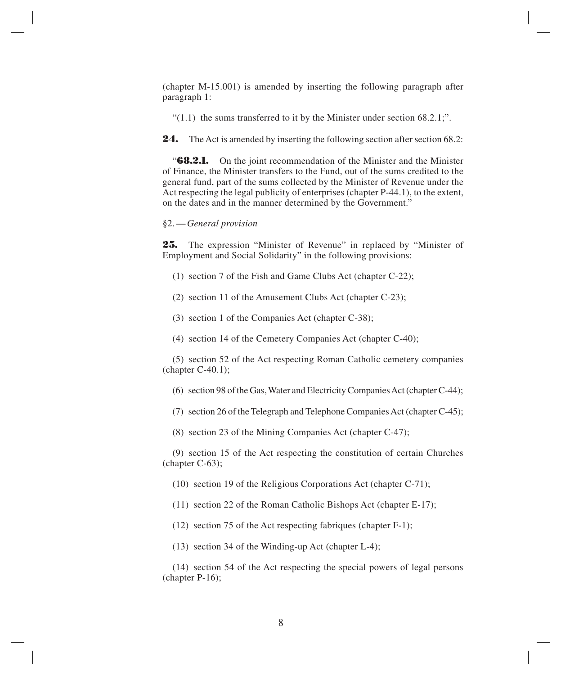(chapter M-15.001) is amended by inserting the following paragraph after paragraph 1:

 $(1.1)$  the sums transferred to it by the Minister under section 68.2.1;".

**24.** The Act is amended by inserting the following section after section 68.2:

"**68.2.1.** On the joint recommendation of the Minister and the Minister of Finance, the Minister transfers to the Fund, out of the sums credited to the general fund, part of the sums collected by the Minister of Revenue under the Act respecting the legal publicity of enterprises (chapter P-44.1), to the extent, on the dates and in the manner determined by the Government."

#### §2.—*General provision*

**25.** The expression "Minister of Revenue" in replaced by "Minister of Employment and Social Solidarity" in the following provisions:

- (1) section 7 of the Fish and Game Clubs Act (chapter C-22);
- (2) section 11 of the Amusement Clubs Act (chapter C-23);
- (3) section 1 of the Companies Act (chapter C-38);
- (4) section 14 of the Cemetery Companies Act (chapter C-40);

(5) section 52 of the Act respecting Roman Catholic cemetery companies  $(charet C-40.1);$ 

- (6) section 98 of the Gas, Water and Electricity Companies Act (chapterC-44);
- (7) section 26 of the Telegraph and Telephone Companies Act (chapter C-45);
- (8) section 23 of the Mining Companies Act (chapter C-47);

(9) section 15 of the Act respecting the constitution of certain Churches  $(charet C-63);$ 

- (10) section 19 of the Religious Corporations Act (chapter C-71);
- (11) section 22 of the Roman Catholic Bishops Act (chapter E-17);
- (12) section 75 of the Act respecting fabriques (chapter F-1);
- (13) section 34 of the Winding-up Act (chapter L-4);

(14) section 54 of the Act respecting the special powers of legal persons (chapter P-16);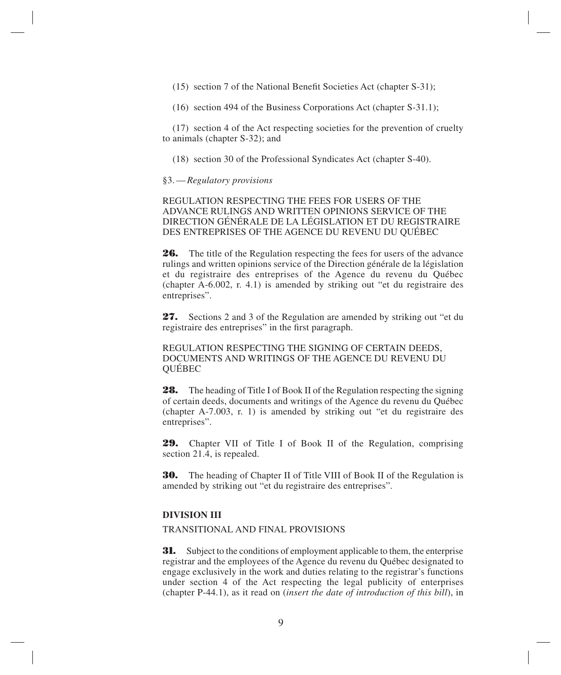- (15) section 7 of the National Benefit Societies Act (chapter S-31);
- (16) section 494 of the Business Corporations Act (chapter S-31.1);

(17) section 4 of the Act respecting societies for the prevention of cruelty to animals (chapter S-32); and

(18) section 30 of the Professional Syndicates Act (chapter S-40).

#### §3.—*Regulatory provisions*

REGULATION RESPECTING THE FEES FOR USERS OF THE ADVANCE RULINGS AND WRITTEN OPINIONS SERVICE OF THE DIRECTION GÉNÉRALE DE LA LÉGISLATION ET DU REGISTRAIRE DES ENTREPRISES OF THE AGENCE DU REVENU DU QUÉBEC

**26.** The title of the Regulation respecting the fees for users of the advance rulings and written opinions service of the Direction générale de la législation et du registraire des entreprises of the Agence du revenu du Québec (chapter A-6.002, r. 4.1) is amended by striking out "et du registraire des entreprises".

**27.** Sections 2 and 3 of the Regulation are amended by striking out "et du registraire des entreprises" in the first paragraph.

REGULATION RESPECTING THE SIGNING OF CERTAIN DEEDS, DOCUMENTS AND WRITINGS OF THE AGENCE DU REVENU DU QUÉBEC

**28.** The heading of Title I of Book II of the Regulation respecting the signing of certain deeds, documents and writings of the Agence du revenu du Québec (chapter A-7.003, r. 1) is amended by striking out "et du registraire des entreprises".

**29.** Chapter VII of Title I of Book II of the Regulation, comprising section 21.4, is repealed.

**30.** The heading of Chapter II of Title VIII of Book II of the Regulation is amended by striking out "et du registraire des entreprises".

#### **DIVISION III**

#### TRANSITIONAL AND FINAL PROVISIONS

**31.** Subject to the conditions of employment applicable to them, the enterprise registrar and the employees of the Agence du revenu du Québec designated to engage exclusively in the work and duties relating to the registrar's functions under section 4 of the Act respecting the legal publicity of enterprises (chapter P-44.1), as it read on (*insert the date of introduction of this bill*), in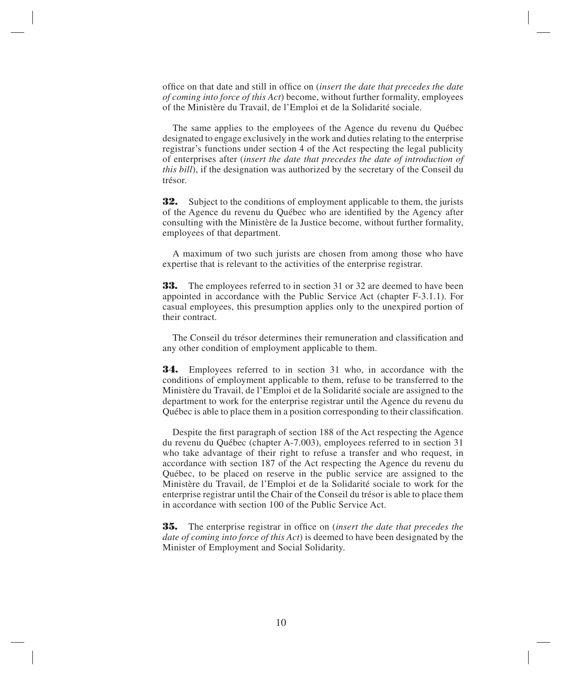office on that date and still in office on (*insert the date that precedes the date of coming into force of this Act*) become, without further formality, employees of the Ministère du Travail, de l'Emploi et de la Solidarité sociale.

The same applies to the employees of the Agence du revenu du Québec designated to engage exclusively in the work and duties relating to the enterprise registrar's functions under section 4 of the Act respecting the legal publicity of enterprises after (*insert the date that precedes the date of introduction of this bill*), if the designation was authorized by the secretary of the Conseil du trésor.

**32.** Subject to the conditions of employment applicable to them, the jurists of the Agence du revenu du Québec who are identified by the Agency after consulting with the Ministère de la Justice become, without further formality, employees of that department.

A maximum of two such jurists are chosen from among those who have expertise that is relevant to the activities of the enterprise registrar.

**33.** The employees referred to in section 31 or 32 are deemed to have been appointed in accordance with the Public Service Act (chapter F-3.1.1). For casual employees, this presumption applies only to the unexpired portion of their contract.

The Conseil du trésor determines their remuneration and classification and any other condition of employment applicable to them.

**34.** Employees referred to in section 31 who, in accordance with the conditions of employment applicable to them, refuse to be transferred to the Ministère du Travail, de l'Emploi et de la Solidarité sociale are assigned to the department to work for the enterprise registrar until the Agence du revenu du Québec is able to place them in a position corresponding to their classification.

Despite the first paragraph of section 188 of the Act respecting the Agence du revenu du Québec (chapter A-7.003), employees referred to in section 31 who take advantage of their right to refuse a transfer and who request, in accordance with section 187 of the Act respecting the Agence du revenu du Québec, to be placed on reserve in the public service are assigned to the Ministère du Travail, de l'Emploi et de la Solidarité sociale to work for the enterprise registrar until the Chair of the Conseil du trésor is able to place them in accordance with section 100 of the Public Service Act.

**35.** The enterprise registrar in office on (*insert the date that precedes the date of coming into force of this Act*) is deemed to have been designated by the Minister of Employment and Social Solidarity.